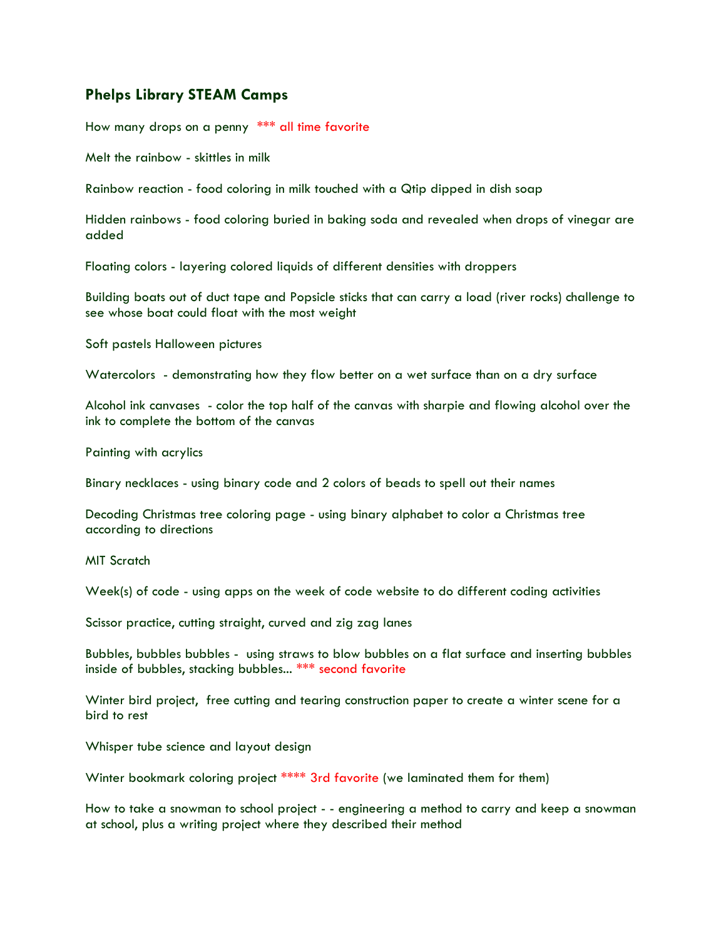## **Phelps Library STEAM Camps**

How many drops on a penny \*\*\* all time favorite

Melt the rainbow - skittles in milk

Rainbow reaction - food coloring in milk touched with a Qtip dipped in dish soap

Hidden rainbows - food coloring buried in baking soda and revealed when drops of vinegar are added

Floating colors - layering colored liquids of different densities with droppers

Building boats out of duct tape and Popsicle sticks that can carry a load (river rocks) challenge to see whose boat could float with the most weight

Soft pastels Halloween pictures

Watercolors - demonstrating how they flow better on a wet surface than on a dry surface

Alcohol ink canvases - color the top half of the canvas with sharpie and flowing alcohol over the ink to complete the bottom of the canvas

Painting with acrylics

Binary necklaces - using binary code and 2 colors of beads to spell out their names

Decoding Christmas tree coloring page - using binary alphabet to color a Christmas tree according to directions

MIT Scratch

Week(s) of code - using apps on the week of code website to do different coding activities

Scissor practice, cutting straight, curved and zig zag lanes

Bubbles, bubbles bubbles - using straws to blow bubbles on a flat surface and inserting bubbles inside of bubbles, stacking bubbles... \*\*\* second favorite

Winter bird project, free cutting and tearing construction paper to create a winter scene for a bird to rest

Whisper tube science and layout design

Winter bookmark coloring project \*\*\*\* 3rd favorite (we laminated them for them)

How to take a snowman to school project - - engineering a method to carry and keep a snowman at school, plus a writing project where they described their method